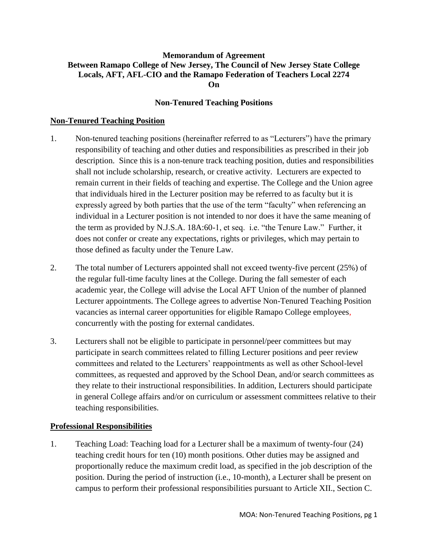### **Memorandum of Agreement Between Ramapo College of New Jersey, The Council of New Jersey State College Locals, AFT, AFL-CIO and the Ramapo Federation of Teachers Local 2274 On**

#### **Non-Tenured Teaching Positions**

#### **Non-Tenured Teaching Position**

- 1. Non-tenured teaching positions (hereinafter referred to as "Lecturers") have the primary responsibility of teaching and other duties and responsibilities as prescribed in their job description. Since this is a non-tenure track teaching position, duties and responsibilities shall not include scholarship, research, or creative activity. Lecturers are expected to remain current in their fields of teaching and expertise. The College and the Union agree that individuals hired in the Lecturer position may be referred to as faculty but it is expressly agreed by both parties that the use of the term "faculty" when referencing an individual in a Lecturer position is not intended to nor does it have the same meaning of the term as provided by N.J.S.A. 18A:60-1, et seq. i.e. "the Tenure Law." Further, it does not confer or create any expectations, rights or privileges, which may pertain to those defined as faculty under the Tenure Law.
- 2. The total number of Lecturers appointed shall not exceed twenty-five percent (25%) of the regular full-time faculty lines at the College. During the fall semester of each academic year, the College will advise the Local AFT Union of the number of planned Lecturer appointments. The College agrees to advertise Non-Tenured Teaching Position vacancies as internal career opportunities for eligible Ramapo College employees, concurrently with the posting for external candidates.
- 3. Lecturers shall not be eligible to participate in personnel/peer committees but may participate in search committees related to filling Lecturer positions and peer review committees and related to the Lecturers' reappointments as well as other School-level committees, as requested and approved by the School Dean, and/or search committees as they relate to their instructional responsibilities. In addition, Lecturers should participate in general College affairs and/or on curriculum or assessment committees relative to their teaching responsibilities.

#### **Professional Responsibilities**

1. Teaching Load: Teaching load for a Lecturer shall be a maximum of twenty-four (24) teaching credit hours for ten (10) month positions. Other duties may be assigned and proportionally reduce the maximum credit load, as specified in the job description of the position. During the period of instruction (i.e., 10-month), a Lecturer shall be present on campus to perform their professional responsibilities pursuant to Article XII., Section C.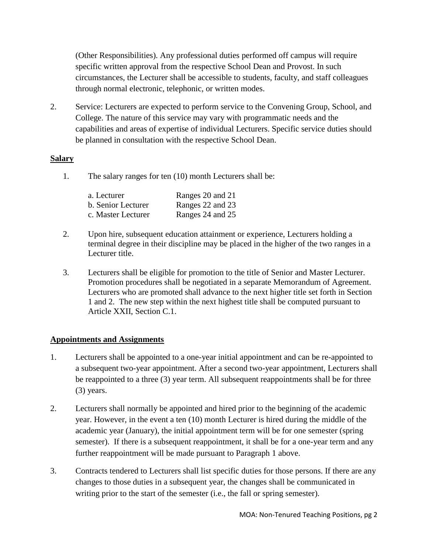(Other Responsibilities). Any professional duties performed off campus will require specific written approval from the respective School Dean and Provost. In such circumstances, the Lecturer shall be accessible to students, faculty, and staff colleagues through normal electronic, telephonic, or written modes.

2. Service: Lecturers are expected to perform service to the Convening Group, School, and College. The nature of this service may vary with programmatic needs and the capabilities and areas of expertise of individual Lecturers. Specific service duties should be planned in consultation with the respective School Dean.

## **Salary**

1. The salary ranges for ten (10) month Lecturers shall be:

| a. Lecturer        | Ranges 20 and 21 |
|--------------------|------------------|
| b. Senior Lecturer | Ranges 22 and 23 |
| c. Master Lecturer | Ranges 24 and 25 |

- 2. Upon hire, subsequent education attainment or experience, Lecturers holding a terminal degree in their discipline may be placed in the higher of the two ranges in a Lecturer title.
- 3. Lecturers shall be eligible for promotion to the title of Senior and Master Lecturer. Promotion procedures shall be negotiated in a separate Memorandum of Agreement. Lecturers who are promoted shall advance to the next higher title set forth in Section 1 and 2. The new step within the next highest title shall be computed pursuant to Article XXII, Section C.1.

## **Appointments and Assignments**

- 1. Lecturers shall be appointed to a one-year initial appointment and can be re-appointed to a subsequent two-year appointment. After a second two-year appointment, Lecturers shall be reappointed to a three (3) year term. All subsequent reappointments shall be for three (3) years.
- 2. Lecturers shall normally be appointed and hired prior to the beginning of the academic year. However, in the event a ten (10) month Lecturer is hired during the middle of the academic year (January), the initial appointment term will be for one semester (spring semester). If there is a subsequent reappointment, it shall be for a one-year term and any further reappointment will be made pursuant to Paragraph 1 above.
- 3. Contracts tendered to Lecturers shall list specific duties for those persons. If there are any changes to those duties in a subsequent year, the changes shall be communicated in writing prior to the start of the semester (i.e., the fall or spring semester).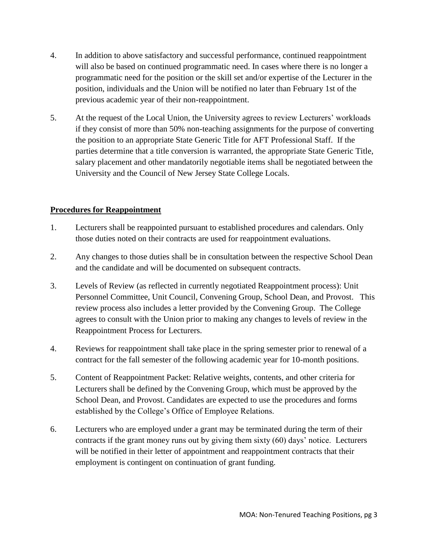- 4. In addition to above satisfactory and successful performance, continued reappointment will also be based on continued programmatic need. In cases where there is no longer a programmatic need for the position or the skill set and/or expertise of the Lecturer in the position, individuals and the Union will be notified no later than February 1st of the previous academic year of their non-reappointment.
- 5. At the request of the Local Union, the University agrees to review Lecturers' workloads if they consist of more than 50% non-teaching assignments for the purpose of converting the position to an appropriate State Generic Title for AFT Professional Staff. If the parties determine that a title conversion is warranted, the appropriate State Generic Title, salary placement and other mandatorily negotiable items shall be negotiated between the University and the Council of New Jersey State College Locals.

## **Procedures for Reappointment**

- 1. Lecturers shall be reappointed pursuant to established procedures and calendars. Only those duties noted on their contracts are used for reappointment evaluations.
- 2. Any changes to those duties shall be in consultation between the respective School Dean and the candidate and will be documented on subsequent contracts.
- 3. Levels of Review (as reflected in currently negotiated Reappointment process): Unit Personnel Committee, Unit Council, Convening Group, School Dean, and Provost. This review process also includes a letter provided by the Convening Group. The College agrees to consult with the Union prior to making any changes to levels of review in the Reappointment Process for Lecturers.
- 4. Reviews for reappointment shall take place in the spring semester prior to renewal of a contract for the fall semester of the following academic year for 10-month positions.
- 5. Content of Reappointment Packet: Relative weights, contents, and other criteria for Lecturers shall be defined by the Convening Group, which must be approved by the School Dean, and Provost. Candidates are expected to use the procedures and forms established by the College's Office of Employee Relations.
- 6. Lecturers who are employed under a grant may be terminated during the term of their contracts if the grant money runs out by giving them sixty (60) days' notice. Lecturers will be notified in their letter of appointment and reappointment contracts that their employment is contingent on continuation of grant funding.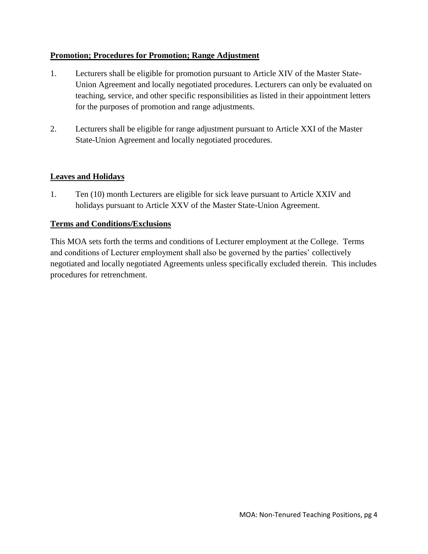## **Promotion; Procedures for Promotion; Range Adjustment**

- 1. Lecturers shall be eligible for promotion pursuant to Article XIV of the Master State-Union Agreement and locally negotiated procedures. Lecturers can only be evaluated on teaching, service, and other specific responsibilities as listed in their appointment letters for the purposes of promotion and range adjustments.
- 2. Lecturers shall be eligible for range adjustment pursuant to Article XXI of the Master State-Union Agreement and locally negotiated procedures.

# **Leaves and Holidays**

1. Ten (10) month Lecturers are eligible for sick leave pursuant to Article XXIV and holidays pursuant to Article XXV of the Master State-Union Agreement.

## **Terms and Conditions/Exclusions**

This MOA sets forth the terms and conditions of Lecturer employment at the College. Terms and conditions of Lecturer employment shall also be governed by the parties' collectively negotiated and locally negotiated Agreements unless specifically excluded therein. This includes procedures for retrenchment.